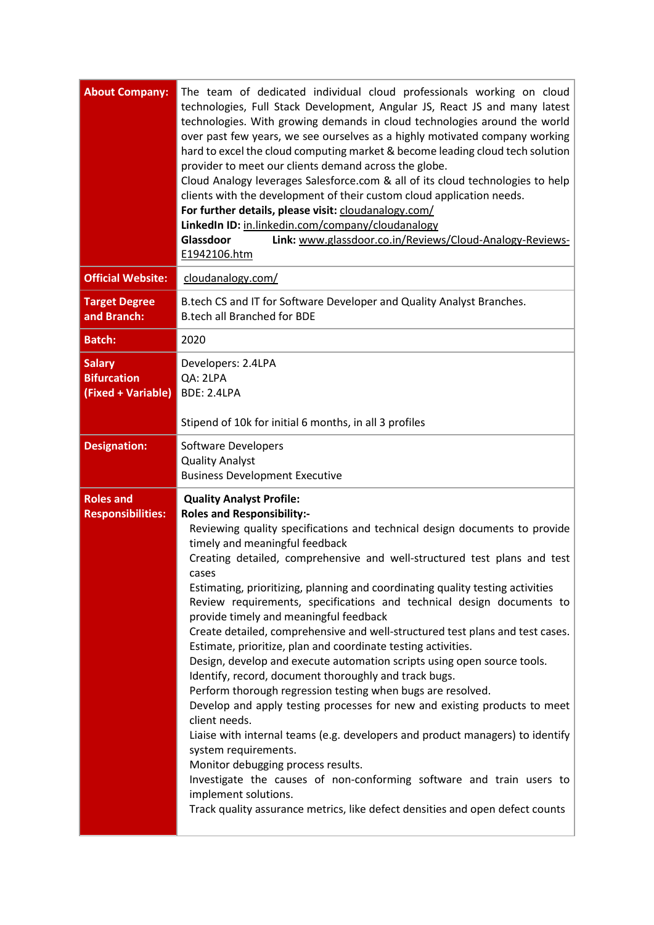| <b>About Company:</b>                                     | The team of dedicated individual cloud professionals working on cloud<br>technologies, Full Stack Development, Angular JS, React JS and many latest<br>technologies. With growing demands in cloud technologies around the world<br>over past few years, we see ourselves as a highly motivated company working<br>hard to excel the cloud computing market & become leading cloud tech solution<br>provider to meet our clients demand across the globe.<br>Cloud Analogy leverages Salesforce.com & all of its cloud technologies to help<br>clients with the development of their custom cloud application needs.<br>For further details, please visit: cloudanalogy.com/<br>LinkedIn ID: in.linkedin.com/company/cloudanalogy<br>Glassdoor<br>Link: www.glassdoor.co.in/Reviews/Cloud-Analogy-Reviews-<br>E1942106.htm                                                                                                                                                                                                                                                                                                                                                                                                                                        |
|-----------------------------------------------------------|-------------------------------------------------------------------------------------------------------------------------------------------------------------------------------------------------------------------------------------------------------------------------------------------------------------------------------------------------------------------------------------------------------------------------------------------------------------------------------------------------------------------------------------------------------------------------------------------------------------------------------------------------------------------------------------------------------------------------------------------------------------------------------------------------------------------------------------------------------------------------------------------------------------------------------------------------------------------------------------------------------------------------------------------------------------------------------------------------------------------------------------------------------------------------------------------------------------------------------------------------------------------|
| <b>Official Website:</b>                                  | cloudanalogy.com/                                                                                                                                                                                                                                                                                                                                                                                                                                                                                                                                                                                                                                                                                                                                                                                                                                                                                                                                                                                                                                                                                                                                                                                                                                                 |
| <b>Target Degree</b><br>and Branch:                       | B.tech CS and IT for Software Developer and Quality Analyst Branches.<br><b>B.tech all Branched for BDE</b>                                                                                                                                                                                                                                                                                                                                                                                                                                                                                                                                                                                                                                                                                                                                                                                                                                                                                                                                                                                                                                                                                                                                                       |
| <b>Batch:</b>                                             | 2020                                                                                                                                                                                                                                                                                                                                                                                                                                                                                                                                                                                                                                                                                                                                                                                                                                                                                                                                                                                                                                                                                                                                                                                                                                                              |
| <b>Salary</b><br><b>Bifurcation</b><br>(Fixed + Variable) | Developers: 2.4LPA<br>QA: 2LPA<br><b>BDE: 2.4LPA</b><br>Stipend of 10k for initial 6 months, in all 3 profiles                                                                                                                                                                                                                                                                                                                                                                                                                                                                                                                                                                                                                                                                                                                                                                                                                                                                                                                                                                                                                                                                                                                                                    |
| <b>Designation:</b>                                       | Software Developers<br><b>Quality Analyst</b><br><b>Business Development Executive</b>                                                                                                                                                                                                                                                                                                                                                                                                                                                                                                                                                                                                                                                                                                                                                                                                                                                                                                                                                                                                                                                                                                                                                                            |
| <b>Roles and</b><br><b>Responsibilities:</b>              | <b>Quality Analyst Profile:</b><br><b>Roles and Responsibility:-</b><br>Reviewing quality specifications and technical design documents to provide<br>timely and meaningful feedback<br>Creating detailed, comprehensive and well-structured test plans and test<br>cases<br>Estimating, prioritizing, planning and coordinating quality testing activities<br>Review requirements, specifications and technical design documents to<br>provide timely and meaningful feedback<br>Create detailed, comprehensive and well-structured test plans and test cases.<br>Estimate, prioritize, plan and coordinate testing activities.<br>Design, develop and execute automation scripts using open source tools.<br>Identify, record, document thoroughly and track bugs.<br>Perform thorough regression testing when bugs are resolved.<br>Develop and apply testing processes for new and existing products to meet<br>client needs.<br>Liaise with internal teams (e.g. developers and product managers) to identify<br>system requirements.<br>Monitor debugging process results.<br>Investigate the causes of non-conforming software and train users to<br>implement solutions.<br>Track quality assurance metrics, like defect densities and open defect counts |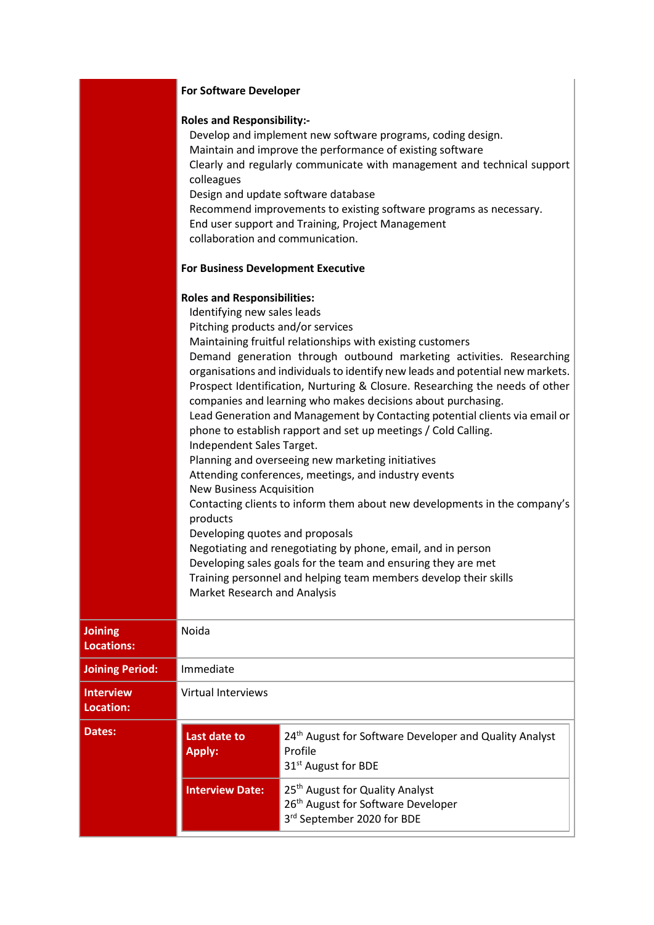## **Roles and Responsibility:-**

|                                      | Develop and implement new software programs, coding design.<br>Maintain and improve the performance of existing software<br>Clearly and regularly communicate with management and technical support<br>colleagues<br>Design and update software database<br>Recommend improvements to existing software programs as necessary.<br>End user support and Training, Project Management<br>collaboration and communication.<br><b>For Business Development Executive</b><br><b>Roles and Responsibilities:</b><br>Identifying new sales leads<br>Pitching products and/or services<br>Maintaining fruitful relationships with existing customers<br>Demand generation through outbound marketing activities. Researching<br>organisations and individuals to identify new leads and potential new markets.<br>Prospect Identification, Nurturing & Closure. Researching the needs of other<br>companies and learning who makes decisions about purchasing.<br>Lead Generation and Management by Contacting potential clients via email or<br>phone to establish rapport and set up meetings / Cold Calling.<br>Independent Sales Target.<br>Planning and overseeing new marketing initiatives<br>Attending conferences, meetings, and industry events<br><b>New Business Acquisition</b><br>Contacting clients to inform them about new developments in the company's<br>products<br>Developing quotes and proposals<br>Negotiating and renegotiating by phone, email, and in person<br>Developing sales goals for the team and ensuring they are met<br>Training personnel and helping team members develop their skills<br>Market Research and Analysis |                                                                                                                             |  |
|--------------------------------------|-------------------------------------------------------------------------------------------------------------------------------------------------------------------------------------------------------------------------------------------------------------------------------------------------------------------------------------------------------------------------------------------------------------------------------------------------------------------------------------------------------------------------------------------------------------------------------------------------------------------------------------------------------------------------------------------------------------------------------------------------------------------------------------------------------------------------------------------------------------------------------------------------------------------------------------------------------------------------------------------------------------------------------------------------------------------------------------------------------------------------------------------------------------------------------------------------------------------------------------------------------------------------------------------------------------------------------------------------------------------------------------------------------------------------------------------------------------------------------------------------------------------------------------------------------------------------------------------------------------------------------------------------------|-----------------------------------------------------------------------------------------------------------------------------|--|
| <b>Joining</b><br><b>Locations:</b>  | Noida                                                                                                                                                                                                                                                                                                                                                                                                                                                                                                                                                                                                                                                                                                                                                                                                                                                                                                                                                                                                                                                                                                                                                                                                                                                                                                                                                                                                                                                                                                                                                                                                                                                 |                                                                                                                             |  |
| <b>Joining Period:</b>               | Immediate                                                                                                                                                                                                                                                                                                                                                                                                                                                                                                                                                                                                                                                                                                                                                                                                                                                                                                                                                                                                                                                                                                                                                                                                                                                                                                                                                                                                                                                                                                                                                                                                                                             |                                                                                                                             |  |
| <b>Interview</b><br><b>Location:</b> | <b>Virtual Interviews</b>                                                                                                                                                                                                                                                                                                                                                                                                                                                                                                                                                                                                                                                                                                                                                                                                                                                                                                                                                                                                                                                                                                                                                                                                                                                                                                                                                                                                                                                                                                                                                                                                                             |                                                                                                                             |  |
| Dates:                               | Last date to<br><b>Apply:</b>                                                                                                                                                                                                                                                                                                                                                                                                                                                                                                                                                                                                                                                                                                                                                                                                                                                                                                                                                                                                                                                                                                                                                                                                                                                                                                                                                                                                                                                                                                                                                                                                                         | 24th August for Software Developer and Quality Analyst<br>Profile<br>31 <sup>st</sup> August for BDE                        |  |
|                                      | <b>Interview Date:</b>                                                                                                                                                                                                                                                                                                                                                                                                                                                                                                                                                                                                                                                                                                                                                                                                                                                                                                                                                                                                                                                                                                                                                                                                                                                                                                                                                                                                                                                                                                                                                                                                                                | 25 <sup>th</sup> August for Quality Analyst<br>26 <sup>th</sup> August for Software Developer<br>3rd September 2020 for BDE |  |